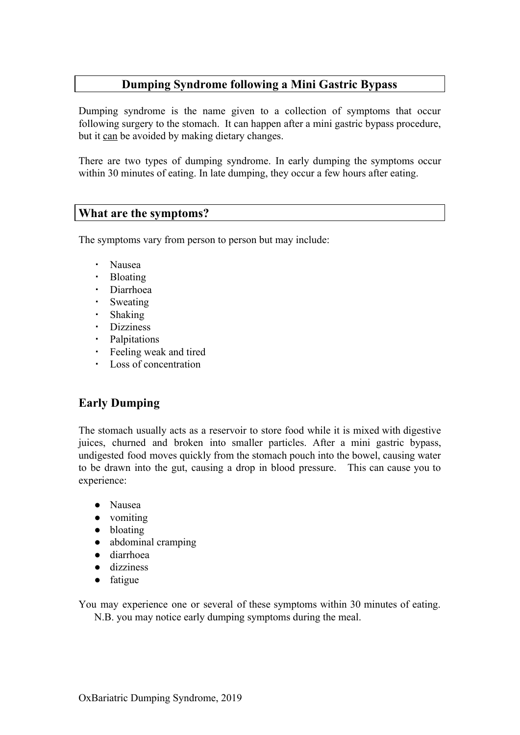#### **Dumping Syndrome following a Mini Gastric Bypass**

Dumping syndrome is the name given to a collection of symptoms that occur following surgery to the stomach. It can happen after a mini gastric bypass procedure, but it can be avoided by making dietary changes.

There are two types of dumping syndrome. In early dumping the symptoms occur within 30 minutes of eating. In late dumping, they occur a few hours after eating.

#### **What are the symptoms?**

The symptoms vary from person to person but may include:

- Nausea
- Bloating
- Diarrhoea
- Sweating
- Shaking
- Dizziness
- Palpitations
- Feeling weak and tired
- Loss of concentration

# **Early Dumping**

The stomach usually acts as a reservoir to store food while it is mixed with digestive juices, churned and broken into smaller particles. After a mini gastric bypass, undigested food moves quickly from the stomach pouch into the bowel, causing water to be drawn into the gut, causing a drop in blood pressure. This can cause you to experience:

- Nausea
- vomiting
- bloating
- abdominal cramping
- diarrhoea
- dizziness
- fatigue

You may experience one or several of these symptoms within 30 minutes of eating. N.B. you may notice early dumping symptoms during the meal.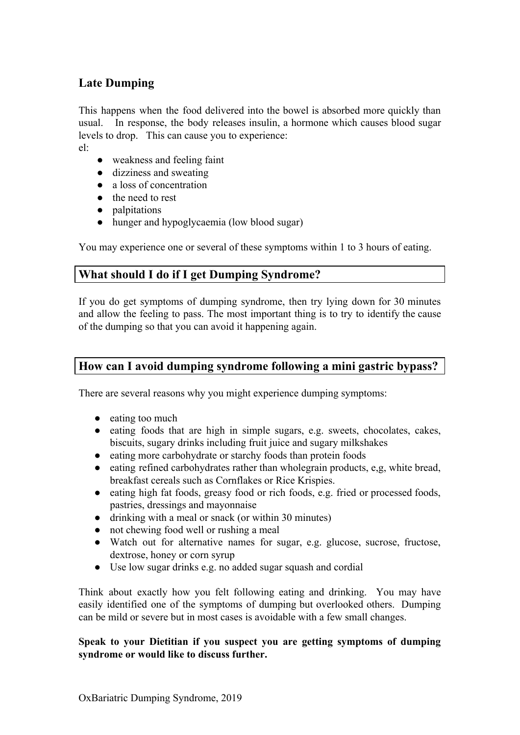## **Late Dumping**

This happens when the food delivered into the bowel is absorbed more quickly than usual. In response, the body releases insulin, a hormone which causes blood sugar levels to drop. This can cause you to experience:

el:

- weakness and feeling faint
- dizziness and sweating
- a loss of concentration
- the need to rest
- palpitations
- hunger and hypoglycaemia (low blood sugar)

You may experience one or several of these symptoms within 1 to 3 hours of eating.

#### **What should I do if I get Dumping Syndrome?**

If you do get symptoms of dumping syndrome, then try lying down for 30 minutes and allow the feeling to pass. The most important thing is to try to identify the cause of the dumping so that you can avoid it happening again.

## **How can I avoid dumping syndrome following a mini gastric bypass?**

There are several reasons why you might experience dumping symptoms:

- eating too much
- eating foods that are high in simple sugars, e.g. sweets, chocolates, cakes, biscuits, sugary drinks including fruit juice and sugary milkshakes
- eating more carbohydrate or starchy foods than protein foods
- eating refined carbohydrates rather than wholegrain products, e,g, white bread, breakfast cereals such as Cornflakes or Rice Krispies.
- eating high fat foods, greasy food or rich foods, e.g. fried or processed foods, pastries, dressings and mayonnaise
- drinking with a meal or snack (or within 30 minutes)
- not chewing food well or rushing a meal
- Watch out for alternative names for sugar, e.g. glucose, sucrose, fructose, dextrose, honey or corn syrup
- Use low sugar drinks e.g. no added sugar squash and cordial

Think about exactly how you felt following eating and drinking. You may have easily identified one of the symptoms of dumping but overlooked others. Dumping can be mild or severe but in most cases is avoidable with a few small changes.

#### **Speak to your Dietitian if you suspect you are getting symptoms of dumping syndrome or would like to discuss further.**